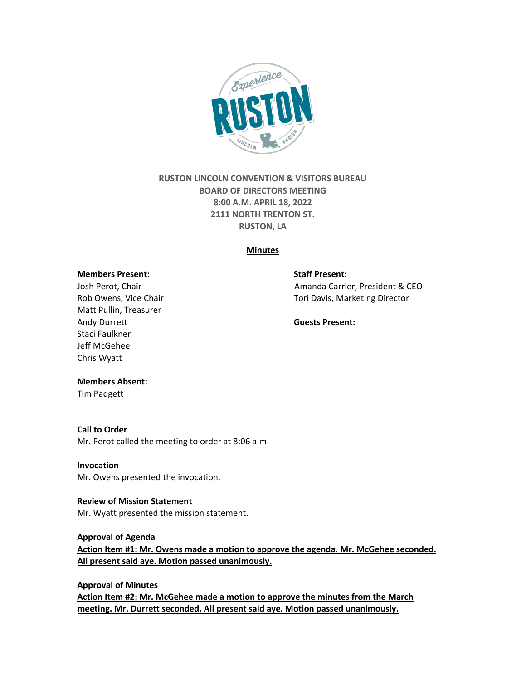

# **RUSTON LINCOLN CONVENTION & VISITORS BUREAU BOARD OF DIRECTORS MEETING 8:00 A.M. APRIL 18, 2022 2111 NORTH TRENTON ST. RUSTON, LA**

#### **Minutes**

#### **Members Present: Staff Present:**

Matt Pullin, Treasurer Andy Durrett **Guests Present:** Staci Faulkner Jeff McGehee Chris Wyatt

Josh Perot, Chair **Amanda Carrier, President & CEO** Rob Owens, Vice Chair Tori Davis, Marketing Director

#### **Members Absent:**

Tim Padgett

#### **Call to Order**

Mr. Perot called the meeting to order at 8:06 a.m.

#### **Invocation**

Mr. Owens presented the invocation.

## **Review of Mission Statement** Mr. Wyatt presented the mission statement.

#### **Approval of Agenda**

**Action Item #1: Mr. Owens made a motion to approve the agenda. Mr. McGehee seconded. All present said aye. Motion passed unanimously.** 

#### **Approval of Minutes**

**Action Item #2: Mr. McGehee made a motion to approve the minutes from the March meeting. Mr. Durrett seconded. All present said aye. Motion passed unanimously.**